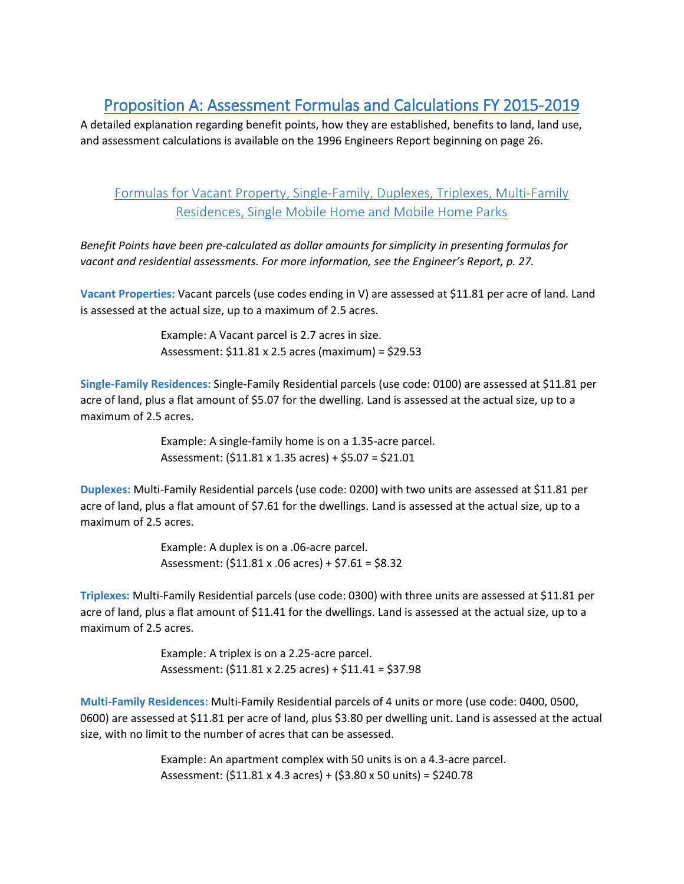# Proposition A: Assessment Formulas and Calculations FY 2015-2019

A detailed explanation regarding benefit points, how they are established, benefits to land, land use, and assessment calculations is available on the 1996 Engineers Report beginning on page 26.

## Formulas for Vacant Property, Single-Family, Duplexes, Triplexes, Multi-Family Residences, Single Mobile Home and Mobile Home Parks

*Benefit Points have been pre-calculated as dollar amounts for simplicity in presenting formulas for vacant and residential assessments. For more information, see the Engineer's Report, p. 27.*

**Vacant Properties:** Vacant parcels (use codes ending in V) are assessed at \$11.81 per acre of land. Land is assessed at the actual size, up to a maximum of 2.5 acres.

> Example: A Vacant parcel is 2.7 acres in size. Assessment: \$11.81 x 2.5 acres (maximum) = \$29.53

**Single-Family Residences:** Single-Family Residential parcels (use code: 0100) are assessed at \$11.81 per acre of land, plus a flat amount of \$5.07 for the dwelling. Land is assessed at the actual size, up to a maximum of 2.5 acres.

> Example: A single-family home is on a 1.35-acre parcel. Assessment: (\$11.81 x 1.35 acres) + \$5.07 = \$21.01

**Duplexes:** Multi-Family Residential parcels (use code: 0200) with two units are assessed at \$11.81 per acre of land, plus a flat amount of \$7.61 for the dwellings. Land is assessed at the actual size, up to a maximum of 2.5 acres.

> Example: A duplex is on a .06-acre parcel. Assessment: (\$11.81 x .06 acres) + \$7.61 = \$8.32

**Triplexes:** Multi-Family Residential parcels (use code: 0300) with three units are assessed at \$11.81 per acre of land, plus a flat amount of \$11.41 for the dwellings. Land is assessed at the actual size, up to a maximum of 2.5 acres.

> Example: A triplex is on a 2.25-acre parcel. Assessment: (\$11.81 x 2.25 acres) + \$11.41 = \$37.98

**Multi-Family Residences:** Multi-Family Residential parcels of 4 units or more (use code: 0400, 0500, 0600) are assessed at \$11.81 per acre of land, plus \$3.80 per dwelling unit. Land is assessed at the actual size, with no limit to the number of acres that can be assessed.

> Example: An apartment complex with 50 units is on a 4.3-acre parcel. Assessment: (\$11.81 x 4.3 acres) + (\$3.80 x 50 units) = \$240.78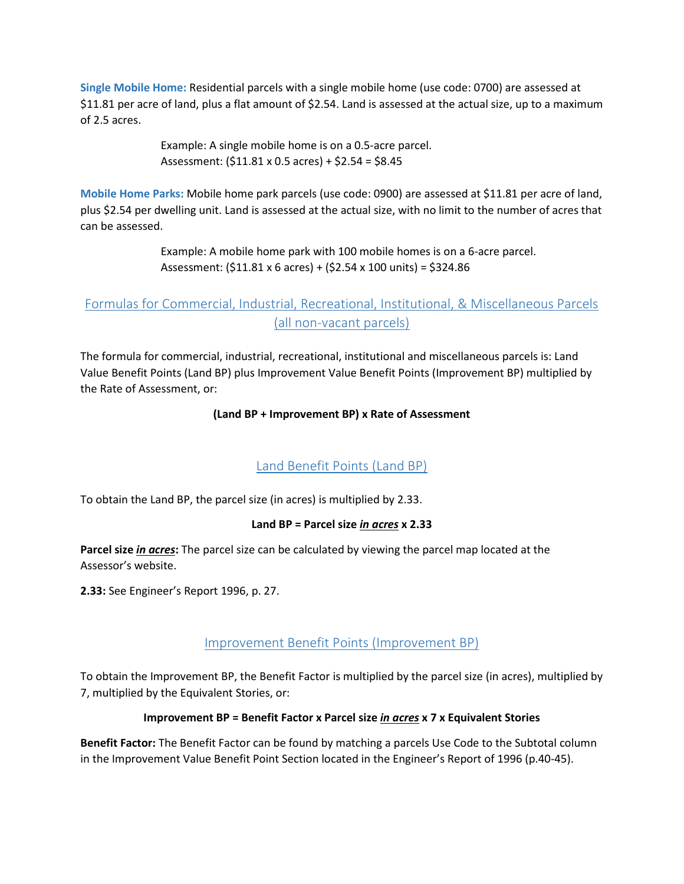**Single Mobile Home:** Residential parcels with a single mobile home (use code: 0700) are assessed at \$11.81 per acre of land, plus a flat amount of \$2.54. Land is assessed at the actual size, up to a maximum of 2.5 acres.

> Example: A single mobile home is on a 0.5-acre parcel. Assessment: (\$11.81 x 0.5 acres) + \$2.54 = \$8.45

**Mobile Home Parks:** Mobile home park parcels (use code: 0900) are assessed at \$11.81 per acre of land, plus \$2.54 per dwelling unit. Land is assessed at the actual size, with no limit to the number of acres that can be assessed.

> Example: A mobile home park with 100 mobile homes is on a 6-acre parcel. Assessment: (\$11.81 x 6 acres) + (\$2.54 x 100 units) = \$324.86

# Formulas for Commercial, Industrial, Recreational, Institutional, & Miscellaneous Parcels (all non-vacant parcels)

The formula for commercial, industrial, recreational, institutional and miscellaneous parcels is: Land Value Benefit Points (Land BP) plus Improvement Value Benefit Points (Improvement BP) multiplied by the Rate of Assessment, or:

#### **(Land BP + Improvement BP) x Rate of Assessment**

### Land Benefit Points (Land BP)

To obtain the Land BP, the parcel size (in acres) is multiplied by 2.33.

#### **Land BP = Parcel size** *in acres* **x 2.33**

**Parcel size** *in acres***:** The parcel size can be calculated by viewing the parcel map located at the Assessor's website.

**2.33:** See Engineer's Report 1996, p. 27.

### Improvement Benefit Points (Improvement BP)

To obtain the Improvement BP, the Benefit Factor is multiplied by the parcel size (in acres), multiplied by 7, multiplied by the Equivalent Stories, or:

#### **Improvement BP = Benefit Factor x Parcel size** *in acres* **x 7 x Equivalent Stories**

**Benefit Factor:** The Benefit Factor can be found by matching a parcels Use Code to the Subtotal column in the Improvement Value Benefit Point Section located in the Engineer's Report of 1996 (p.40-45).